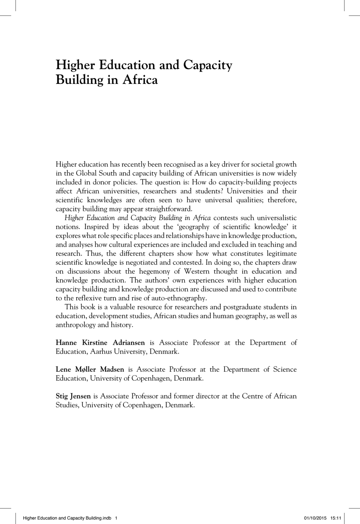## **Higher Education and Capacity Building in Africa**

Higher education has recently been recognised as a key driver for societal growth in the Global South and capacity building of African universities is now widely included in donor policies. The question is: How do capacity-building projects affect African universities, researchers and students? Universities and their scientific knowledges are often seen to have universal qualities; therefore, capacity building may appear straightforward.

*Higher Education and Capacity Building in Africa* contests such universalistic notions. Inspired by ideas about the 'geography of scientific knowledge' it explores what role specific places and relationships have in knowledge production, and analyses how cultural experiences are included and excluded in teaching and research. Thus, the different chapters show how what constitutes legitimate scientific knowledge is negotiated and contested. In doing so, the chapters draw on discussions about the hegemony of Western thought in education and knowledge production. The authors' own experiences with higher education capacity building and knowledge production are discussed and used to contribute to the reflexive turn and rise of auto-ethnography.

This book is a valuable resource for researchers and postgraduate students in education, development studies, African studies and human geography, as well as anthropology and history.

**Hanne Kirstine Adriansen** is Associate Professor at the Department of Education, Aarhus University, Denmark.

**Lene Møller Madsen** is Associate Professor at the Department of Science Education, University of Copenhagen, Denmark.

**Stig Jensen** is Associate Professor and former director at the Centre of African Studies, University of Copenhagen, Denmark.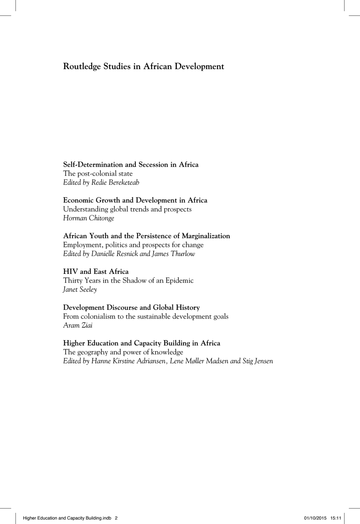### **Routledge Studies in African Development**

## **Self-Determination and Secession in Africa**

The post-colonial state *Edited by Redie Bereketeab*

#### **Economic Growth and Development in Africa**

Understanding global trends and prospects *Horman Chitonge*

#### **African Youth and the Persistence of Marginalization**

Employment, politics and prospects for change *Edited by Danielle Resnick and James Thurlow*

#### **HIV and East Africa**

Thirty Years in the Shadow of an Epidemic *Janet Seeley* 

#### **Development Discourse and Global History**

From colonialism to the sustainable development goals *Aram Ziai*

#### **Higher Education and Capacity Building in Africa**

The geography and power of knowledge *Edited by Hanne Kirstine Adriansen, Lene Møller Madsen and Stig Jensen*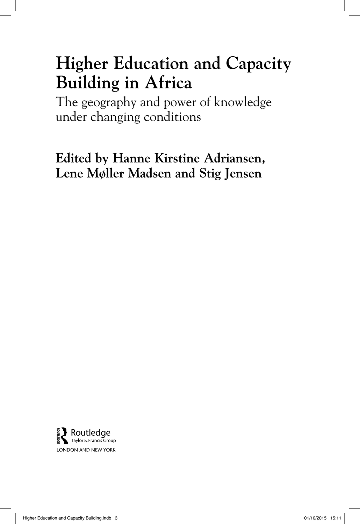# **Higher Education and Capacity Building in Africa**

The geography and power of knowledge under changing conditions

**Edited by Hanne Kirstine Adriansen, Lene Møller Madsen and Stig Jensen**

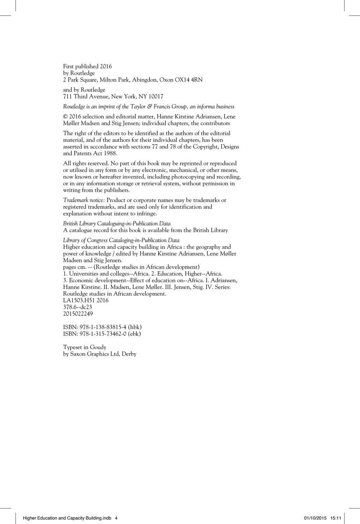First published 2016 by Routledge 2 Park Square, Milton Park, Abingdon, Oxon OX14 4RN

and by Routledge 711 Third Avenue, New York, NY 10017

*Routledge is an imprint of the Taylor & Francis Group, an informa business*

© 2016 selection and editorial matter, Hanne Kirstine Adriansen, Lene Møller Madsen and Stig Jensen; individual chapters, the contributors

The right of the editors to be identified as the authors of the editorial material, and of the authors for their individual chapters, has been asserted in accordance with sections 77 and 78 of the Copyright, Designs and Patents Act 1988.

All rights reserved. No part of this book may be reprinted or reproduced or utilised in any form or by any electronic, mechanical, or other means, now known or hereafter invented, including photocopying and recording, or in any information storage or retrieval system, without permission in writing from the publishers.

*Trademark notice:* Product or corporate names may be trademarks or registered trademarks, and are used only for identification and explanation without intent to infringe.

*British Library Cataloguing-in-Publication Data* A catalogue record for this book is available from the British Library

*Library of Congress Cataloging-in-Publication Data* Higher education and capacity building in Africa : the geography and power of knowledge / edited by Hanne Kirstine Adriansen, Lene Møller Madsen and Stig Jensen. pages cm. -- (Routledge studies in African development) 1. Universities and colleges--Africa. 2. Education, Higher--Africa. 3. Economic development--Effect of education on--Africa. I. Adriansen, Hanne Kirstine. II. Madsen, Lene Møller. III. Jensen, Stig. IV. Series: Routledge studies in African development. LA1503.H51 2016 378.6--dc23 2015022249

ISBN: 978-1-138-83815-4 (hbk) ISBN: 978-1-315-73462-0 (ebk)

Typeset in Goudy by Saxon Graphics Ltd, Derby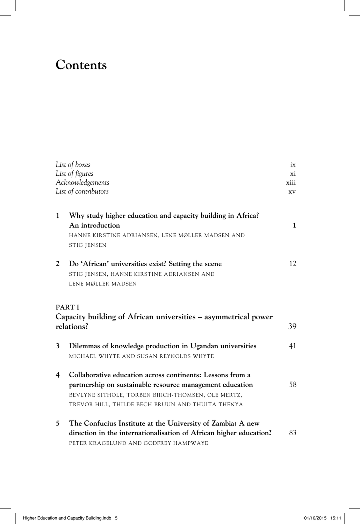# **Contents**

|                      | List of boxes                                                      | ix           |
|----------------------|--------------------------------------------------------------------|--------------|
| List of figures      |                                                                    | хi           |
| Acknowledgements     |                                                                    | xiii         |
| List of contributors |                                                                    | XV.          |
|                      |                                                                    |              |
| $\mathbf{1}$         | Why study higher education and capacity building in Africa?        |              |
|                      | An introduction                                                    | $\mathbf{1}$ |
|                      | HANNE KIRSTINE ADRIANSEN, LENE MØLLER MADSEN AND                   |              |
|                      | <b>STIG JENSEN</b>                                                 |              |
| 2                    | Do 'African' universities exist? Setting the scene                 | 12           |
|                      | STIG JENSEN, HANNE KIRSTINE ADRIANSEN AND                          |              |
|                      | LENE MØLLER MADSEN                                                 |              |
|                      |                                                                    |              |
|                      | PART I                                                             |              |
|                      | Capacity building of African universities – asymmetrical power     |              |
|                      | relations?                                                         | 39           |
| 3                    | Dilemmas of knowledge production in Ugandan universities           | 41           |
|                      | MICHAEL WHYTE AND SUSAN REYNOLDS WHYTE                             |              |
|                      |                                                                    |              |
| $\overline{4}$       | Collaborative education across continents: Lessons from a          | 58           |
|                      | partnership on sustainable resource management education           |              |
|                      | BEVLYNE SITHOLE, TORBEN BIRCH-THOMSEN, OLE MERTZ,                  |              |
|                      | TREVOR HILL, THILDE BECH BRUUN AND THUITA THENYA                   |              |
| 5                    | The Confucius Institute at the University of Zambia: A new         |              |
|                      | direction in the internationalisation of African higher education? | 83           |
|                      | PETER KRAGELUND AND GODFREY HAMPWAYE                               |              |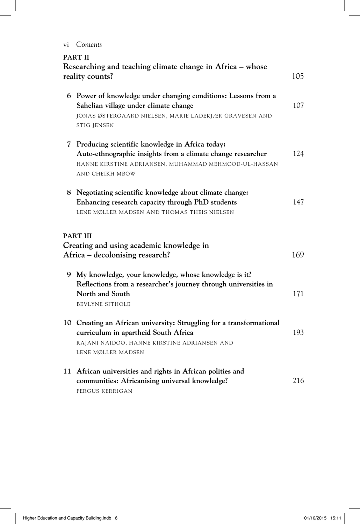vi *Contents*

| <b>PART II</b><br>Researching and teaching climate change in Africa - whose<br>105<br>reality counts? |                                                                                                                                                                                             |     |
|-------------------------------------------------------------------------------------------------------|---------------------------------------------------------------------------------------------------------------------------------------------------------------------------------------------|-----|
|                                                                                                       | 6 Power of knowledge under changing conditions: Lessons from a<br>Sahelian village under climate change<br>JONAS ØSTERGAARD NIELSEN, MARIE LADEKJÆR GRAVESEN AND<br>STIG JENSEN             | 107 |
|                                                                                                       | 7 Producing scientific knowledge in Africa today:<br>Auto-ethnographic insights from a climate change researcher<br>HANNE KIRSTINE ADRIANSEN, MUHAMMAD MEHMOOD-UL-HASSAN<br>AND CHEIKH MBOW | 124 |
|                                                                                                       | 8 Negotiating scientific knowledge about climate change:<br>Enhancing research capacity through PhD students<br>LENE MØLLER MADSEN AND THOMAS THEIS NIELSEN                                 | 147 |
|                                                                                                       | PART III<br>Creating and using academic knowledge in<br>Africa – decolonising research?                                                                                                     | 169 |
|                                                                                                       | 9 My knowledge, your knowledge, whose knowledge is it?<br>Reflections from a researcher's journey through universities in<br>North and South<br><b>BEVLYNE SITHOLE</b>                      | 171 |
|                                                                                                       | 10 Creating an African university: Struggling for a transformational<br>curriculum in apartheid South Africa<br>RAJANI NAIDOO, HANNE KIRSTINE ADRIANSEN AND<br>LENE MØLLER MADSEN           | 193 |
|                                                                                                       | 11 African universities and rights in African polities and<br>communities: Africanising universal knowledge?<br><b>FERGUS KERRIGAN</b>                                                      | 216 |